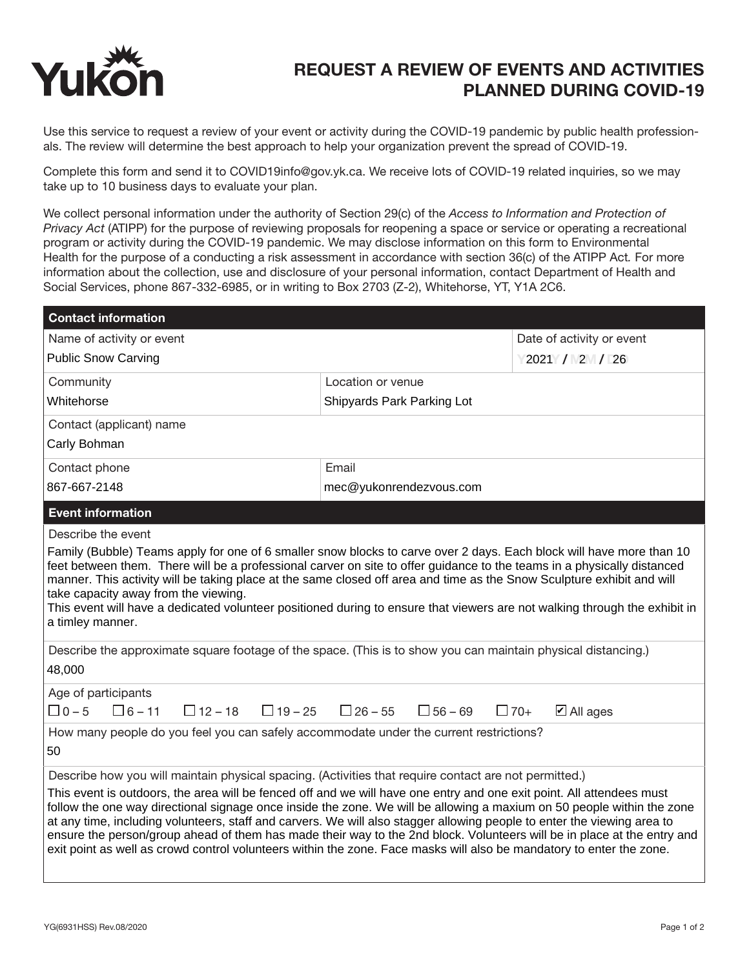

## REQUEST A REVIEW OF EVENTS AND ACTIVITIES PLANNED DURING COVID-19

Use this service to request a review of your event or activity during the COVID-19 pandemic by public health professionals. The review will determine the best approach to help your organization prevent the spread of COVID-19.

Complete this form and send it to COVID19info@gov.yk.ca. We receive lots of COVID-19 related inquiries, so we may take up to 10 business days to evaluate your plan.

We collect personal information under the authority of Section 29(c) of the *Access to Information and Protection of Privacy Act* (ATIPP) for the purpose of reviewing proposals for reopening a space or service or operating a recreational program or activity during the COVID-19 pandemic. We may disclose information on this form to Environmental Health for the purpose of a conducting a risk assessment in accordance with section 36(c) of the ATIPP Act*.* For more information about the collection, use and disclosure of your personal information, contact Department of Health and Social Services, phone 867-332-6985, or in writing to Box 2703 (Z-2), Whitehorse, YT, Y1A 2C6.

| <b>Contact information</b>                                                                                                                                                                                                                                                                                                                                                                                                                                                                                                                                                                                                    |                                  |                                    |  |
|-------------------------------------------------------------------------------------------------------------------------------------------------------------------------------------------------------------------------------------------------------------------------------------------------------------------------------------------------------------------------------------------------------------------------------------------------------------------------------------------------------------------------------------------------------------------------------------------------------------------------------|----------------------------------|------------------------------------|--|
| Name of activity or event                                                                                                                                                                                                                                                                                                                                                                                                                                                                                                                                                                                                     |                                  | Date of activity or event          |  |
| <b>Public Snow Carving</b>                                                                                                                                                                                                                                                                                                                                                                                                                                                                                                                                                                                                    |                                  | 2021 / 2 / 26                      |  |
| Community                                                                                                                                                                                                                                                                                                                                                                                                                                                                                                                                                                                                                     | Location or venue                |                                    |  |
| Whitehorse                                                                                                                                                                                                                                                                                                                                                                                                                                                                                                                                                                                                                    | Shipyards Park Parking Lot       |                                    |  |
| Contact (applicant) name                                                                                                                                                                                                                                                                                                                                                                                                                                                                                                                                                                                                      |                                  |                                    |  |
| Carly Bohman                                                                                                                                                                                                                                                                                                                                                                                                                                                                                                                                                                                                                  |                                  |                                    |  |
| Contact phone                                                                                                                                                                                                                                                                                                                                                                                                                                                                                                                                                                                                                 | Email                            |                                    |  |
| 867-667-2148                                                                                                                                                                                                                                                                                                                                                                                                                                                                                                                                                                                                                  | mec@yukonrendezvous.com          |                                    |  |
| <b>Event information</b>                                                                                                                                                                                                                                                                                                                                                                                                                                                                                                                                                                                                      |                                  |                                    |  |
| Describe the event                                                                                                                                                                                                                                                                                                                                                                                                                                                                                                                                                                                                            |                                  |                                    |  |
| feet between them. There will be a professional carver on site to offer guidance to the teams in a physically distanced<br>manner. This activity will be taking place at the same closed off area and time as the Snow Sculpture exhibit and will<br>take capacity away from the viewing.<br>This event will have a dedicated volunteer positioned during to ensure that viewers are not walking through the exhibit in<br>a timley manner.                                                                                                                                                                                   |                                  |                                    |  |
| Describe the approximate square footage of the space. (This is to show you can maintain physical distancing.)<br>48,000                                                                                                                                                                                                                                                                                                                                                                                                                                                                                                       |                                  |                                    |  |
| Age of participants<br>$\Box$ 0 - 5<br>$\Box$ 6 – 11<br>$\Box$ 12 – 18<br>$\Box$ 19 – 25                                                                                                                                                                                                                                                                                                                                                                                                                                                                                                                                      | $\Box$ 26 – 55<br>$\Box$ 56 – 69 | $\boxtimes$ All ages<br>$\Box$ 70+ |  |
| How many people do you feel you can safely accommodate under the current restrictions?<br>50                                                                                                                                                                                                                                                                                                                                                                                                                                                                                                                                  |                                  |                                    |  |
| Describe how you will maintain physical spacing. (Activities that require contact are not permitted.)                                                                                                                                                                                                                                                                                                                                                                                                                                                                                                                         |                                  |                                    |  |
| This event is outdoors, the area will be fenced off and we will have one entry and one exit point. All attendees must<br>follow the one way directional signage once inside the zone. We will be allowing a maxium on 50 people within the zone<br>at any time, including volunteers, staff and carvers. We will also stagger allowing people to enter the viewing area to<br>ensure the person/group ahead of them has made their way to the 2nd block. Volunteers will be in place at the entry and<br>exit point as well as crowd control volunteers within the zone. Face masks will also be mandatory to enter the zone. |                                  |                                    |  |